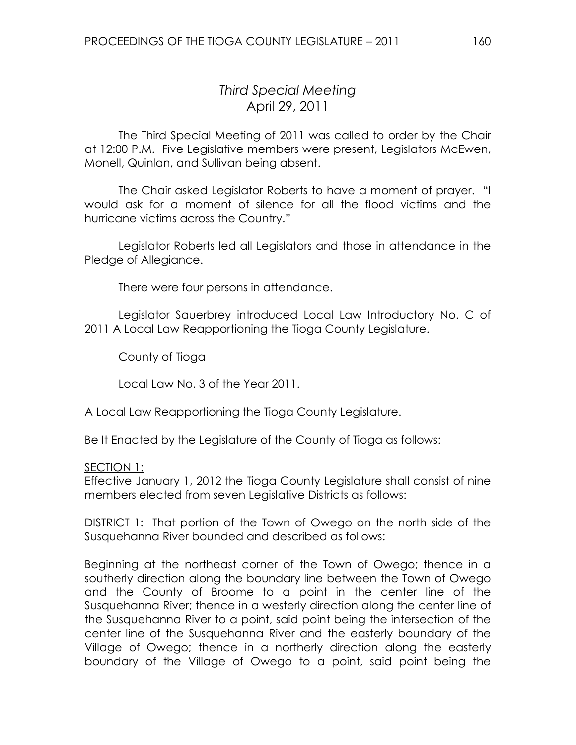## Third Special Meeting April 29, 2011

 The Third Special Meeting of 2011 was called to order by the Chair at 12:00 P.M. Five Legislative members were present, Legislators McEwen, Monell, Quinlan, and Sullivan being absent.

The Chair asked Legislator Roberts to have a moment of prayer. "I would ask for a moment of silence for all the flood victims and the hurricane victims across the Country."

 Legislator Roberts led all Legislators and those in attendance in the Pledge of Allegiance.

There were four persons in attendance.

Legislator Sauerbrey introduced Local Law Introductory No. C of 2011 A Local Law Reapportioning the Tioga County Legislature.

County of Tioga

Local Law No. 3 of the Year 2011.

A Local Law Reapportioning the Tioga County Legislature.

Be It Enacted by the Legislature of the County of Tioga as follows:

## SECTION 1:

Effective January 1, 2012 the Tioga County Legislature shall consist of nine members elected from seven Legislative Districts as follows:

DISTRICT 1: That portion of the Town of Owego on the north side of the Susquehanna River bounded and described as follows:

Beginning at the northeast corner of the Town of Owego; thence in a southerly direction along the boundary line between the Town of Owego and the County of Broome to a point in the center line of the Susquehanna River; thence in a westerly direction along the center line of the Susquehanna River to a point, said point being the intersection of the center line of the Susquehanna River and the easterly boundary of the Village of Owego; thence in a northerly direction along the easterly boundary of the Village of Owego to a point, said point being the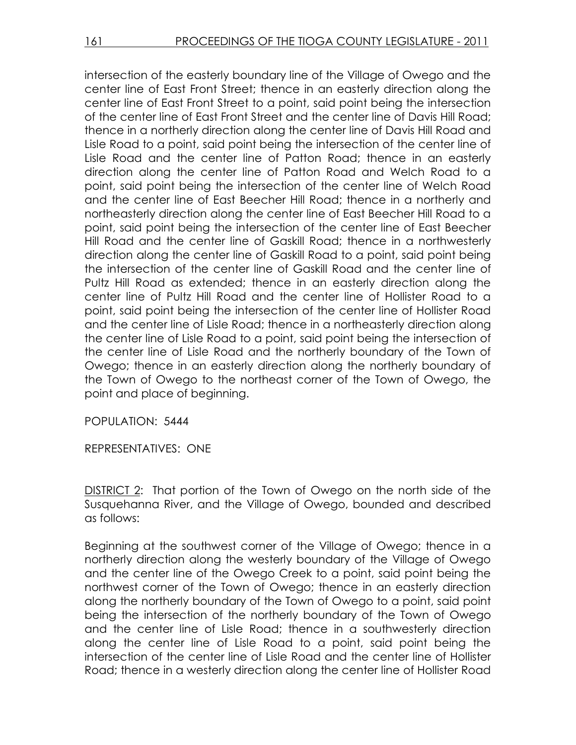intersection of the easterly boundary line of the Village of Owego and the center line of East Front Street; thence in an easterly direction along the center line of East Front Street to a point, said point being the intersection of the center line of East Front Street and the center line of Davis Hill Road; thence in a northerly direction along the center line of Davis Hill Road and Lisle Road to a point, said point being the intersection of the center line of Lisle Road and the center line of Patton Road; thence in an easterly direction along the center line of Patton Road and Welch Road to a point, said point being the intersection of the center line of Welch Road and the center line of East Beecher Hill Road; thence in a northerly and northeasterly direction along the center line of East Beecher Hill Road to a point, said point being the intersection of the center line of East Beecher Hill Road and the center line of Gaskill Road; thence in a northwesterly direction along the center line of Gaskill Road to a point, said point being the intersection of the center line of Gaskill Road and the center line of Pultz Hill Road as extended; thence in an easterly direction along the center line of Pultz Hill Road and the center line of Hollister Road to a point, said point being the intersection of the center line of Hollister Road and the center line of Lisle Road; thence in a northeasterly direction along the center line of Lisle Road to a point, said point being the intersection of the center line of Lisle Road and the northerly boundary of the Town of Owego; thence in an easterly direction along the northerly boundary of the Town of Owego to the northeast corner of the Town of Owego, the point and place of beginning.

POPULATION: 5444

REPRESENTATIVES: ONE

DISTRICT 2: That portion of the Town of Owego on the north side of the Susquehanna River, and the Village of Owego, bounded and described as follows:

Beginning at the southwest corner of the Village of Owego; thence in a northerly direction along the westerly boundary of the Village of Owego and the center line of the Owego Creek to a point, said point being the northwest corner of the Town of Owego; thence in an easterly direction along the northerly boundary of the Town of Owego to a point, said point being the intersection of the northerly boundary of the Town of Owego and the center line of Lisle Road; thence in a southwesterly direction along the center line of Lisle Road to a point, said point being the intersection of the center line of Lisle Road and the center line of Hollister Road; thence in a westerly direction along the center line of Hollister Road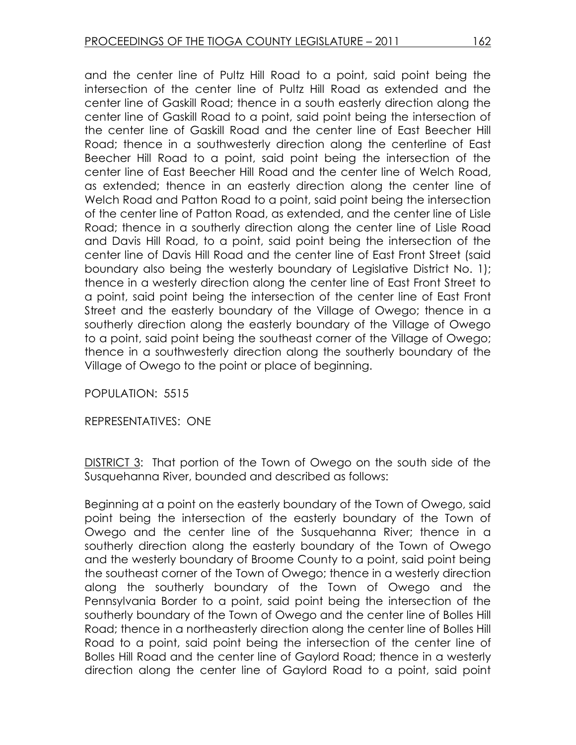and the center line of Pultz Hill Road to a point, said point being the intersection of the center line of Pultz Hill Road as extended and the center line of Gaskill Road; thence in a south easterly direction along the center line of Gaskill Road to a point, said point being the intersection of the center line of Gaskill Road and the center line of East Beecher Hill Road; thence in a southwesterly direction along the centerline of East Beecher Hill Road to a point, said point being the intersection of the center line of East Beecher Hill Road and the center line of Welch Road, as extended; thence in an easterly direction along the center line of Welch Road and Patton Road to a point, said point being the intersection of the center line of Patton Road, as extended, and the center line of Lisle Road; thence in a southerly direction along the center line of Lisle Road and Davis Hill Road, to a point, said point being the intersection of the center line of Davis Hill Road and the center line of East Front Street (said boundary also being the westerly boundary of Legislative District No. 1); thence in a westerly direction along the center line of East Front Street to a point, said point being the intersection of the center line of East Front Street and the easterly boundary of the Village of Owego; thence in a southerly direction along the easterly boundary of the Village of Owego to a point, said point being the southeast corner of the Village of Owego; thence in a southwesterly direction along the southerly boundary of the Village of Owego to the point or place of beginning.

POPULATION: 5515

REPRESENTATIVES: ONE

DISTRICT 3: That portion of the Town of Owego on the south side of the Susquehanna River, bounded and described as follows:

Beginning at a point on the easterly boundary of the Town of Owego, said point being the intersection of the easterly boundary of the Town of Owego and the center line of the Susquehanna River; thence in a southerly direction along the easterly boundary of the Town of Owego and the westerly boundary of Broome County to a point, said point being the southeast corner of the Town of Owego; thence in a westerly direction along the southerly boundary of the Town of Owego and the Pennsylvania Border to a point, said point being the intersection of the southerly boundary of the Town of Owego and the center line of Bolles Hill Road; thence in a northeasterly direction along the center line of Bolles Hill Road to a point, said point being the intersection of the center line of Bolles Hill Road and the center line of Gaylord Road; thence in a westerly direction along the center line of Gaylord Road to a point, said point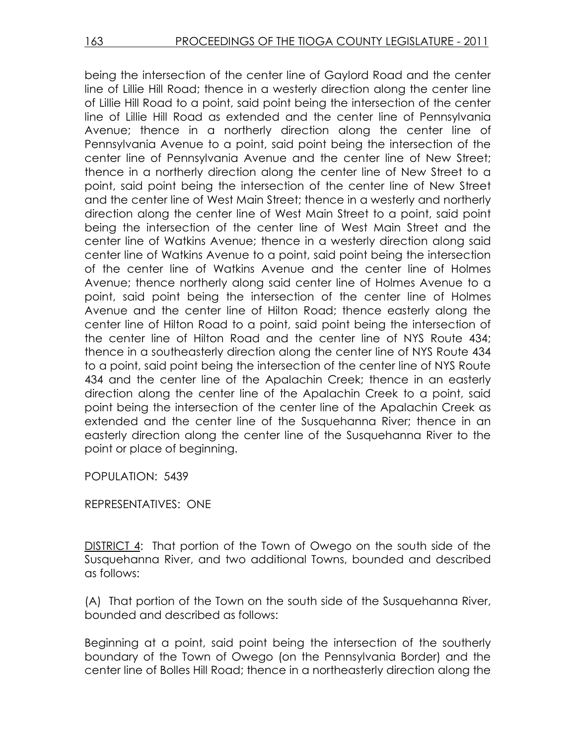being the intersection of the center line of Gaylord Road and the center line of Lillie Hill Road; thence in a westerly direction along the center line of Lillie Hill Road to a point, said point being the intersection of the center line of Lillie Hill Road as extended and the center line of Pennsylvania Avenue; thence in a northerly direction along the center line of Pennsylvania Avenue to a point, said point being the intersection of the center line of Pennsylvania Avenue and the center line of New Street; thence in a northerly direction along the center line of New Street to a point, said point being the intersection of the center line of New Street and the center line of West Main Street; thence in a westerly and northerly direction along the center line of West Main Street to a point, said point being the intersection of the center line of West Main Street and the center line of Watkins Avenue; thence in a westerly direction along said center line of Watkins Avenue to a point, said point being the intersection of the center line of Watkins Avenue and the center line of Holmes Avenue; thence northerly along said center line of Holmes Avenue to a point, said point being the intersection of the center line of Holmes Avenue and the center line of Hilton Road; thence easterly along the center line of Hilton Road to a point, said point being the intersection of the center line of Hilton Road and the center line of NYS Route 434; thence in a southeasterly direction along the center line of NYS Route 434 to a point, said point being the intersection of the center line of NYS Route 434 and the center line of the Apalachin Creek; thence in an easterly direction along the center line of the Apalachin Creek to a point, said point being the intersection of the center line of the Apalachin Creek as extended and the center line of the Susquehanna River; thence in an easterly direction along the center line of the Susquehanna River to the point or place of beginning.

POPULATION: 5439

REPRESENTATIVES: ONE

DISTRICT 4: That portion of the Town of Owego on the south side of the Susquehanna River, and two additional Towns, bounded and described as follows:

(A) That portion of the Town on the south side of the Susquehanna River, bounded and described as follows:

Beginning at a point, said point being the intersection of the southerly boundary of the Town of Owego (on the Pennsylvania Border) and the center line of Bolles Hill Road; thence in a northeasterly direction along the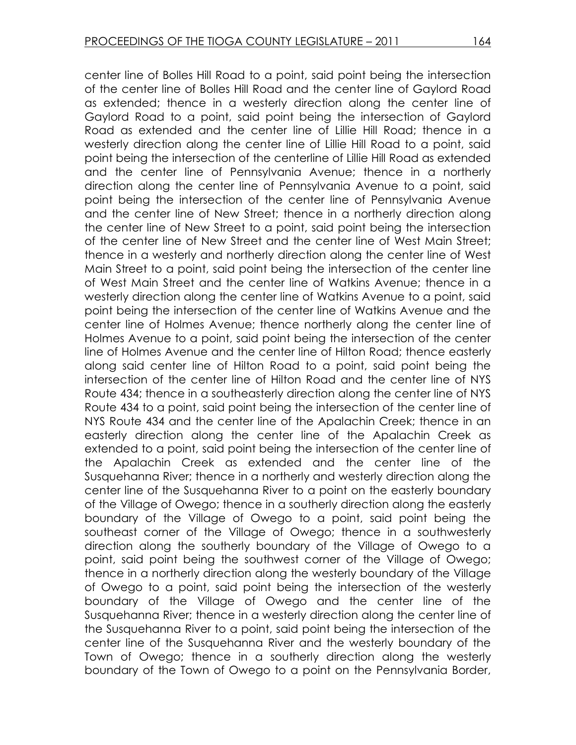center line of Bolles Hill Road to a point, said point being the intersection of the center line of Bolles Hill Road and the center line of Gaylord Road as extended; thence in a westerly direction along the center line of Gaylord Road to a point, said point being the intersection of Gaylord Road as extended and the center line of Lillie Hill Road; thence in a westerly direction along the center line of Lillie Hill Road to a point, said point being the intersection of the centerline of Lillie Hill Road as extended and the center line of Pennsylvania Avenue; thence in a northerly direction along the center line of Pennsylvania Avenue to a point, said point being the intersection of the center line of Pennsylvania Avenue and the center line of New Street; thence in a northerly direction along the center line of New Street to a point, said point being the intersection of the center line of New Street and the center line of West Main Street; thence in a westerly and northerly direction along the center line of West Main Street to a point, said point being the intersection of the center line of West Main Street and the center line of Watkins Avenue; thence in a westerly direction along the center line of Watkins Avenue to a point, said point being the intersection of the center line of Watkins Avenue and the center line of Holmes Avenue; thence northerly along the center line of Holmes Avenue to a point, said point being the intersection of the center line of Holmes Avenue and the center line of Hilton Road; thence easterly along said center line of Hilton Road to a point, said point being the intersection of the center line of Hilton Road and the center line of NYS Route 434; thence in a southeasterly direction along the center line of NYS Route 434 to a point, said point being the intersection of the center line of NYS Route 434 and the center line of the Apalachin Creek; thence in an easterly direction along the center line of the Apalachin Creek as extended to a point, said point being the intersection of the center line of the Apalachin Creek as extended and the center line of the Susquehanna River; thence in a northerly and westerly direction along the center line of the Susquehanna River to a point on the easterly boundary of the Village of Owego; thence in a southerly direction along the easterly boundary of the Village of Owego to a point, said point being the southeast corner of the Village of Owego; thence in a southwesterly direction along the southerly boundary of the Village of Owego to a point, said point being the southwest corner of the Village of Owego; thence in a northerly direction along the westerly boundary of the Village of Owego to a point, said point being the intersection of the westerly boundary of the Village of Owego and the center line of the Susquehanna River; thence in a westerly direction along the center line of the Susquehanna River to a point, said point being the intersection of the center line of the Susquehanna River and the westerly boundary of the Town of Owego; thence in a southerly direction along the westerly boundary of the Town of Owego to a point on the Pennsylvania Border,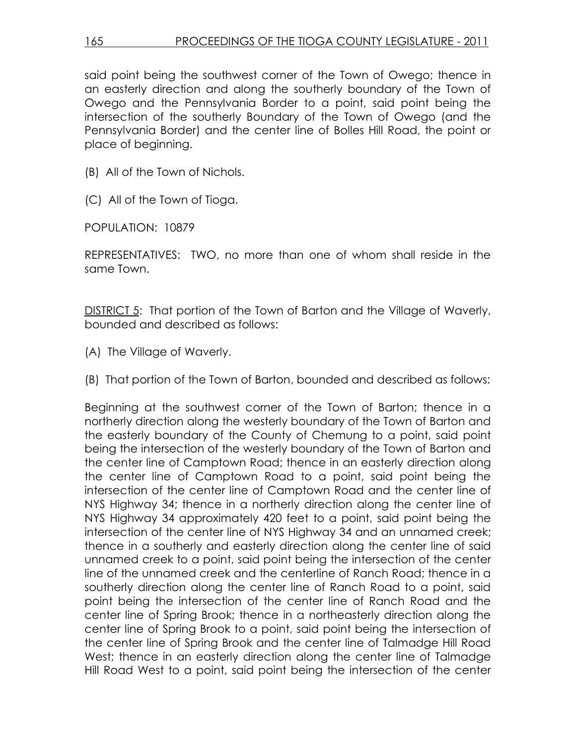said point being the southwest corner of the Town of Owego; thence in an easterly direction and along the southerly boundary of the Town of Owego and the Pennsylvania Border to a point, said point being the intersection of the southerly Boundary of the Town of Owego (and the Pennsylvania Border) and the center line of Bolles Hill Road, the point or place of beginning.

(B) All of the Town of Nichols.

(C) All of the Town of Tioga.

POPULATION: 10879

REPRESENTATIVES: TWO, no more than one of whom shall reside in the same Town.

DISTRICT 5: That portion of the Town of Barton and the Village of Waverly, bounded and described as follows:

- (A) The Village of Waverly.
- (B) That portion of the Town of Barton, bounded and described as follows:

Beginning at the southwest corner of the Town of Barton; thence in a northerly direction along the westerly boundary of the Town of Barton and the easterly boundary of the County of Chemung to a point, said point being the intersection of the westerly boundary of the Town of Barton and the center line of Camptown Road; thence in an easterly direction along the center line of Camptown Road to a point, said point being the intersection of the center line of Camptown Road and the center line of NYS Highway 34; thence in a northerly direction along the center line of NYS Highway 34 approximately 420 feet to a point, said point being the intersection of the center line of NYS Highway 34 and an unnamed creek; thence in a southerly and easterly direction along the center line of said unnamed creek to a point, said point being the intersection of the center line of the unnamed creek and the centerline of Ranch Road; thence in a southerly direction along the center line of Ranch Road to a point, said point being the intersection of the center line of Ranch Road and the center line of Spring Brook; thence in a northeasterly direction along the center line of Spring Brook to a point, said point being the intersection of the center line of Spring Brook and the center line of Talmadge Hill Road West; thence in an easterly direction along the center line of Talmadge Hill Road West to a point, said point being the intersection of the center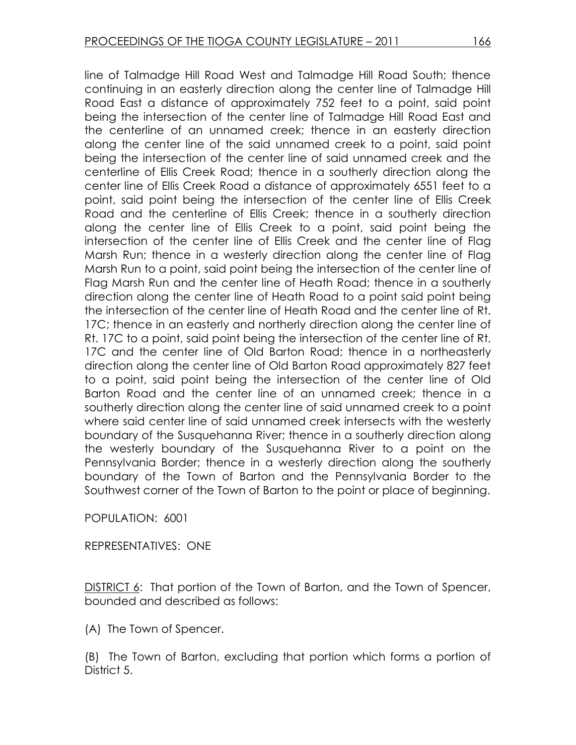line of Talmadge Hill Road West and Talmadge Hill Road South; thence continuing in an easterly direction along the center line of Talmadge Hill Road East a distance of approximately 752 feet to a point, said point being the intersection of the center line of Talmadge Hill Road East and the centerline of an unnamed creek; thence in an easterly direction along the center line of the said unnamed creek to a point, said point being the intersection of the center line of said unnamed creek and the centerline of Ellis Creek Road; thence in a southerly direction along the center line of Ellis Creek Road a distance of approximately 6551 feet to a point, said point being the intersection of the center line of Ellis Creek Road and the centerline of Ellis Creek; thence in a southerly direction along the center line of Ellis Creek to a point, said point being the intersection of the center line of Ellis Creek and the center line of Flag Marsh Run; thence in a westerly direction along the center line of Flag Marsh Run to a point, said point being the intersection of the center line of Flag Marsh Run and the center line of Heath Road; thence in a southerly direction along the center line of Heath Road to a point said point being the intersection of the center line of Heath Road and the center line of Rt. 17C; thence in an easterly and northerly direction along the center line of Rt. 17C to a point, said point being the intersection of the center line of Rt. 17C and the center line of Old Barton Road; thence in a northeasterly direction along the center line of Old Barton Road approximately 827 feet to a point, said point being the intersection of the center line of Old Barton Road and the center line of an unnamed creek; thence in a southerly direction along the center line of said unnamed creek to a point where said center line of said unnamed creek intersects with the westerly boundary of the Susquehanna River; thence in a southerly direction along the westerly boundary of the Susquehanna River to a point on the Pennsylvania Border; thence in a westerly direction along the southerly boundary of the Town of Barton and the Pennsylvania Border to the Southwest corner of the Town of Barton to the point or place of beginning.

POPULATION: 6001

REPRESENTATIVES: ONE

DISTRICT 6: That portion of the Town of Barton, and the Town of Spencer, bounded and described as follows:

(A) The Town of Spencer.

(B) The Town of Barton, excluding that portion which forms a portion of District 5.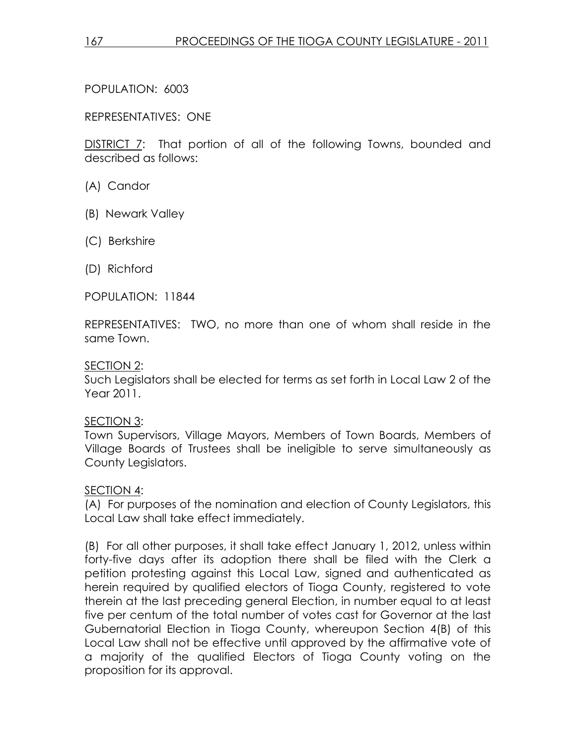POPULATION: 6003

REPRESENTATIVES: ONE

DISTRICT 7: That portion of all of the following Towns, bounded and described as follows:

- (A) Candor
- (B) Newark Valley
- (C) Berkshire
- (D) Richford

POPULATION: 11844

REPRESENTATIVES: TWO, no more than one of whom shall reside in the same Town.

## SECTION 2:

Such Legislators shall be elected for terms as set forth in Local Law 2 of the Year 2011.

SECTION 3:

Town Supervisors, Village Mayors, Members of Town Boards, Members of Village Boards of Trustees shall be ineligible to serve simultaneously as County Legislators.

## SECTION 4:

(A) For purposes of the nomination and election of County Legislators, this Local Law shall take effect immediately.

(B) For all other purposes, it shall take effect January 1, 2012, unless within forty-five days after its adoption there shall be filed with the Clerk a petition protesting against this Local Law, signed and authenticated as herein required by qualified electors of Tioga County, registered to vote therein at the last preceding general Election, in number equal to at least five per centum of the total number of votes cast for Governor at the last Gubernatorial Election in Tioga County, whereupon Section 4(B) of this Local Law shall not be effective until approved by the affirmative vote of a majority of the qualified Electors of Tioga County voting on the proposition for its approval.